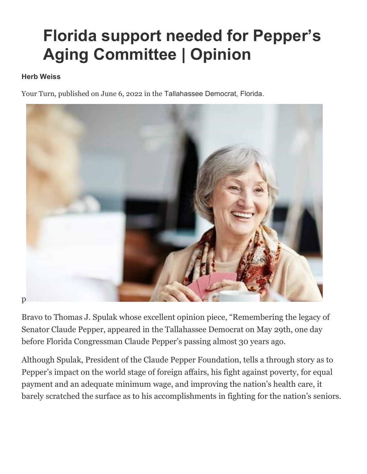## Florida support needed for Pepper's Aging Committee | Opinion

## Herb Weiss

Your Turn, published on June 6, 2022 in the Tallahassee Democrat, Florida.



Bravo to Thomas J. Spulak whose excellent opinion piece, "Remembering the legacy of Senator Claude Pepper, appeared in the Tallahassee Democrat on May 29th, one day before Florida Congressman Claude Pepper's passing almost 30 years ago.

Although Spulak, President of the Claude Pepper Foundation, tells a through story as to Pepper's impact on the world stage of foreign affairs, his fight against poverty, for equal payment and an adequate minimum wage, and improving the nation's health care, it barely scratched the surface as to his accomplishments in fighting for the nation's seniors.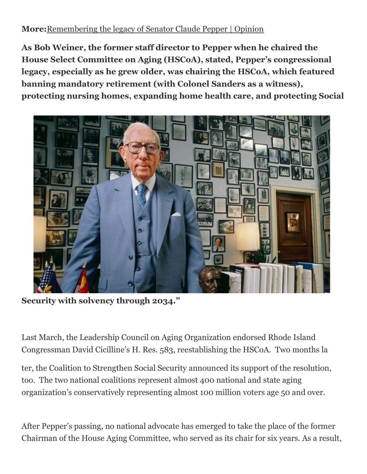## More:Remembering the legacy of Senator Claude Pepper | Opinion

As Bob Weiner, the former staff director to Pepper when he chaired the House Select Committee on Aging (HSCoA), stated, Pepper's congressional legacy, especially as he grew older, was chairing the HSCoA, which featured banning mandatory retirement (with Colonel Sanders as a witness), protecting nursing homes, expanding home health care, and protecting Social



Security with solvency through 2034."

Last March, the Leadership Council on Aging Organization endorsed Rhode Island Congressman David Cicilline's H. Res. 583, reestablishing the HSCoA. Two months la

ter, the Coalition to Strengthen Social Security announced its support of the resolution, too. The two national coalitions represent almost 400 national and state aging organization's conservatively representing almost 100 million voters age 50 and over.

After Pepper's passing, no national advocate has emerged to take the place of the former Chairman of the House Aging Committee, who served as its chair for six years. As a result,